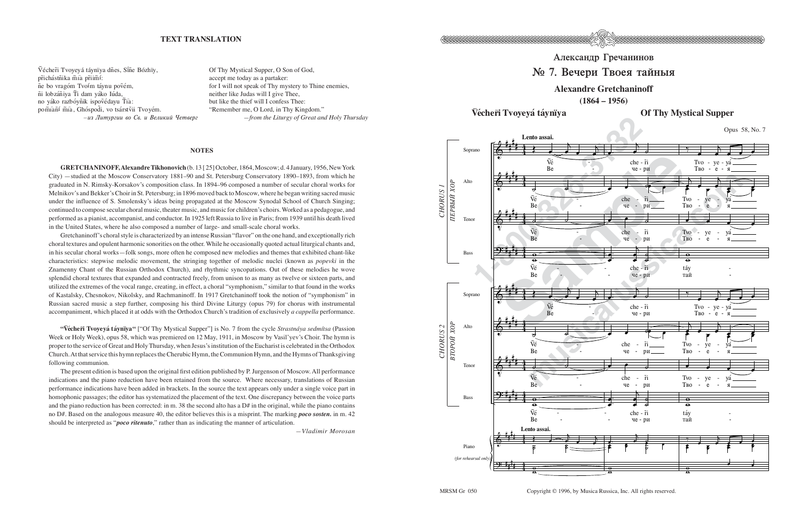

## Александр Гречанинов

## $\mathbb{N}$  7. Вечери Твоея тайныя

## **Alexandre Gretchaninoff**

**(1864 – 1956)**

Vécher̃i Tvoyeyá táynïya **bizon bizoni désamban désamban désamban désamban désamban désamban désamban désamban d** 



Copyright © 1996, by Musica Russica, Inc. All rights reserved.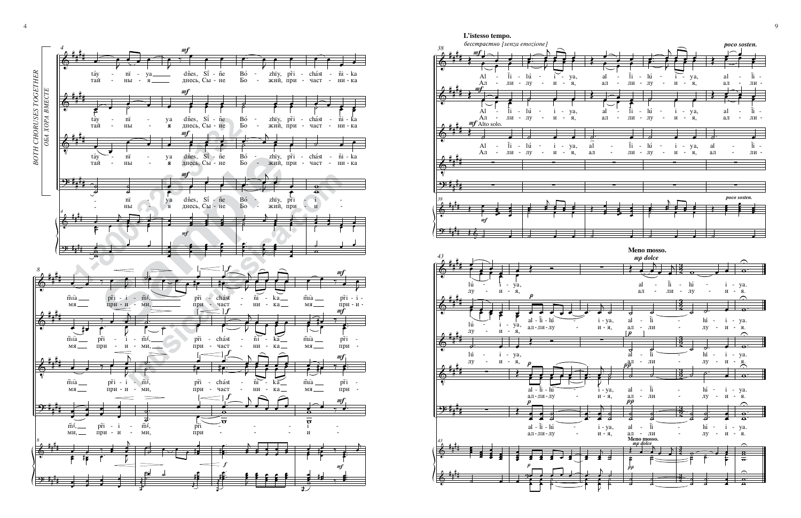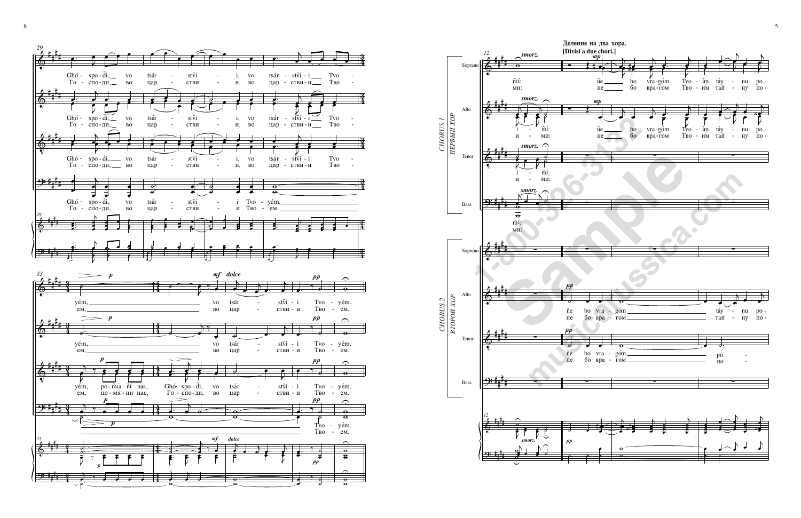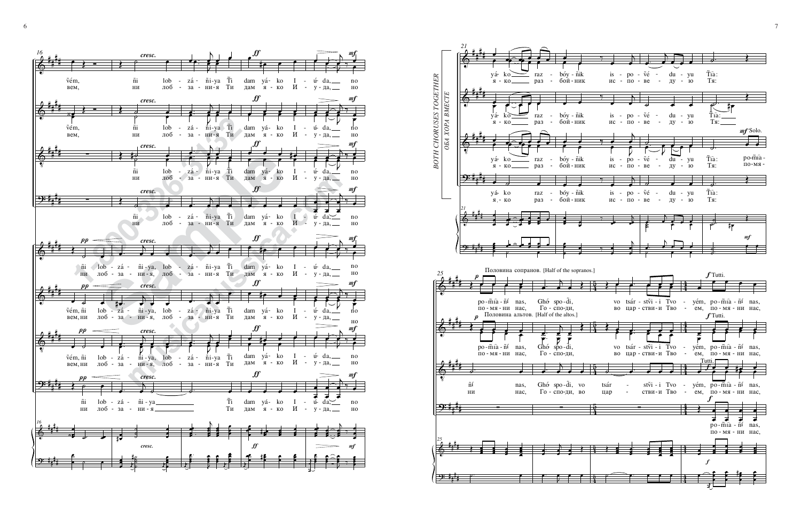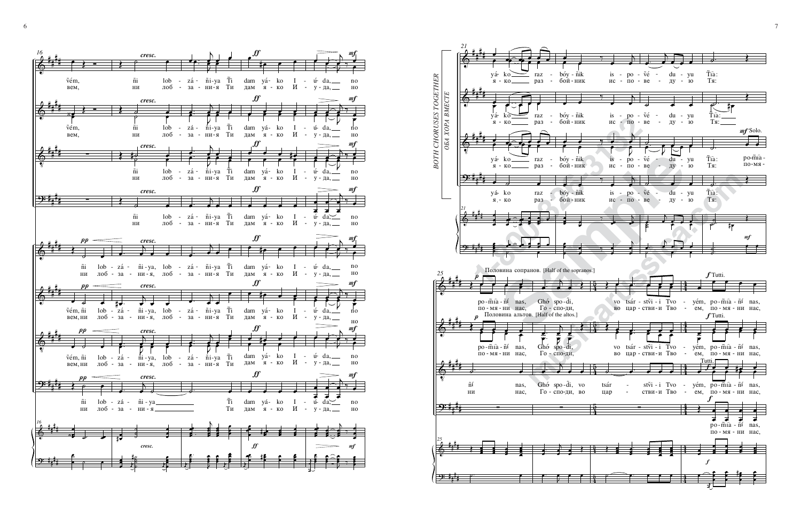![](_page_4_Figure_0.jpeg)